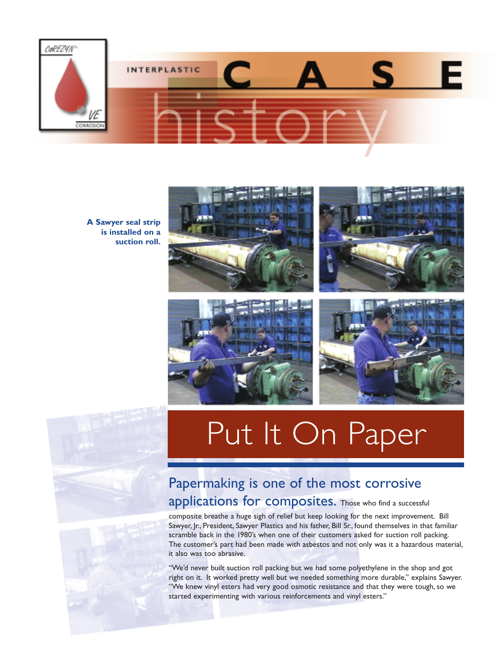

**A Sawyer seal strip is installed on a suction roll.**





## Papermaking is one of the most corrosive

## applications for composites. Those who find a successful

composite breathe a huge sigh of relief but keep looking for the next improvement. Bill Sawyer, Jr., President, Sawyer Plastics and his father, Bill Sr., found themselves in that familiar scramble back in the 1980's when one of their customers asked for suction roll packing. The customer's part had been made with asbestos and not only was it a hazardous material, it also was too abrasive.

"We'd never built suction roll packing but we had some polyethylene in the shop and got right on it. It worked pretty well but we needed something more durable," explains Sawyer. "We knew vinyl esters had very good osmotic resistance and that they were tough, so we started experimenting with various reinforcements and vinyl esters."